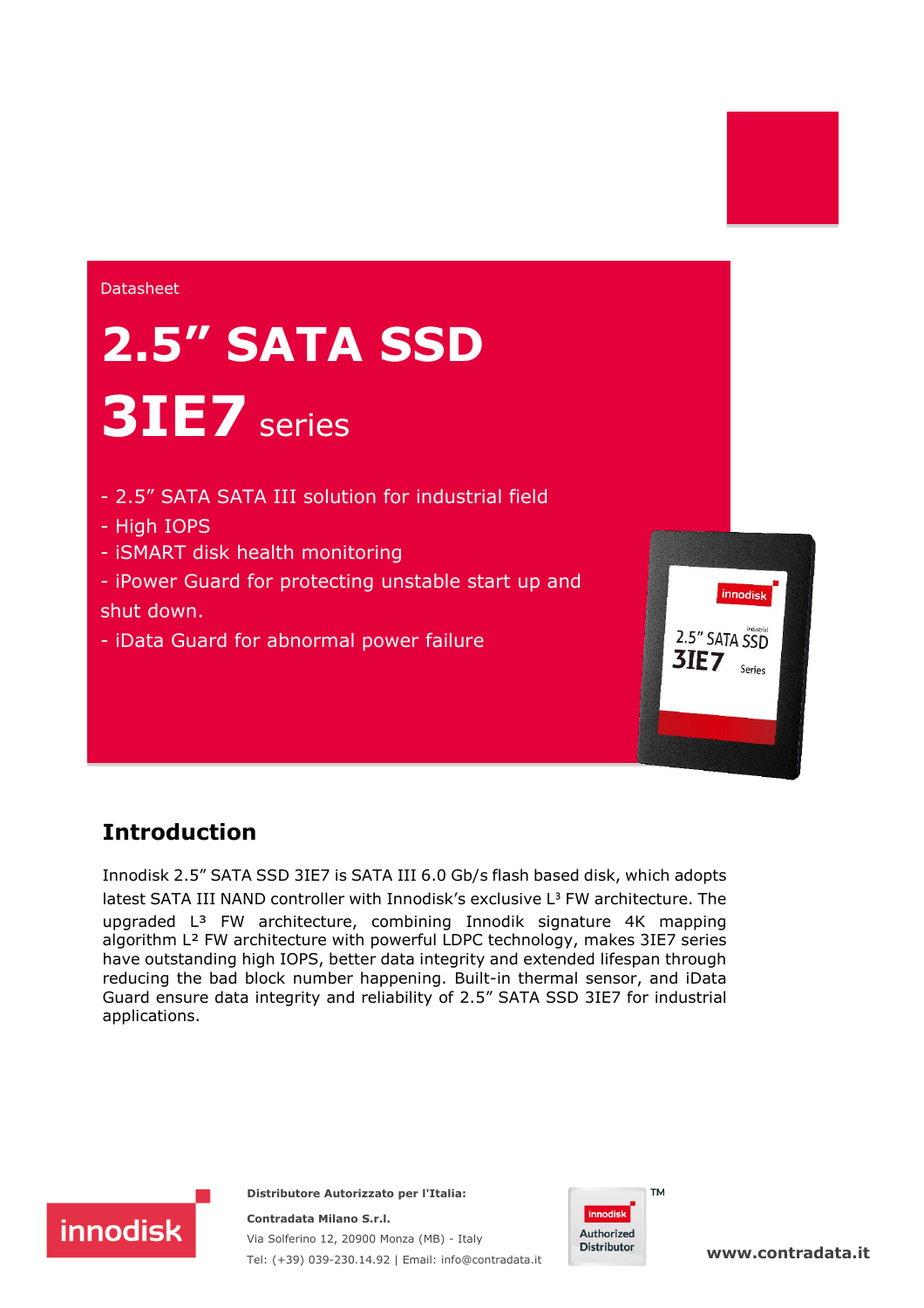#### **Datasheet**

# **2.5" SATA SSD 3IE7** series

- 2.5" SATA SATA III solution for industrial field
- High IOPS
- iSMART disk health monitoring
- iPower Guard for protecting unstable start up and shut down.
- iData Guard for abnormal power failure

### **Introduction**

**innodisk** 

Innodisk 2.5" SATA SSD 3IE7 is SATA III 6.0 Gb/s flash based disk, which adopts latest SATA III NAND controller with Innodisk's exclusive  $L<sup>3</sup>$  FW architecture. The upgraded L³ FW architecture, combining Innodik signature 4K mapping algorithm L² FW architecture with powerful LDPC technology, makes 3IE7 series have outstanding high IOPS, better data integrity and extended lifespan through reducing the bad block number happening. Built-in thermal sensor, and iData Guard ensure data integrity and reliability of 2.5" SATA SSD 3IE7 for industrial applications.

> **Distributore Autorizzato per l'Italia: Contradata Milano S.r.l.**

Via Solferino 12, 20900 Monza (MB) - Italy

Tel: (+39) 039-230.14.92 | Email: [info@contradata.it](mailto:info@contradata.it)



innodisk

2.5" SATA SSD

**3IE7**